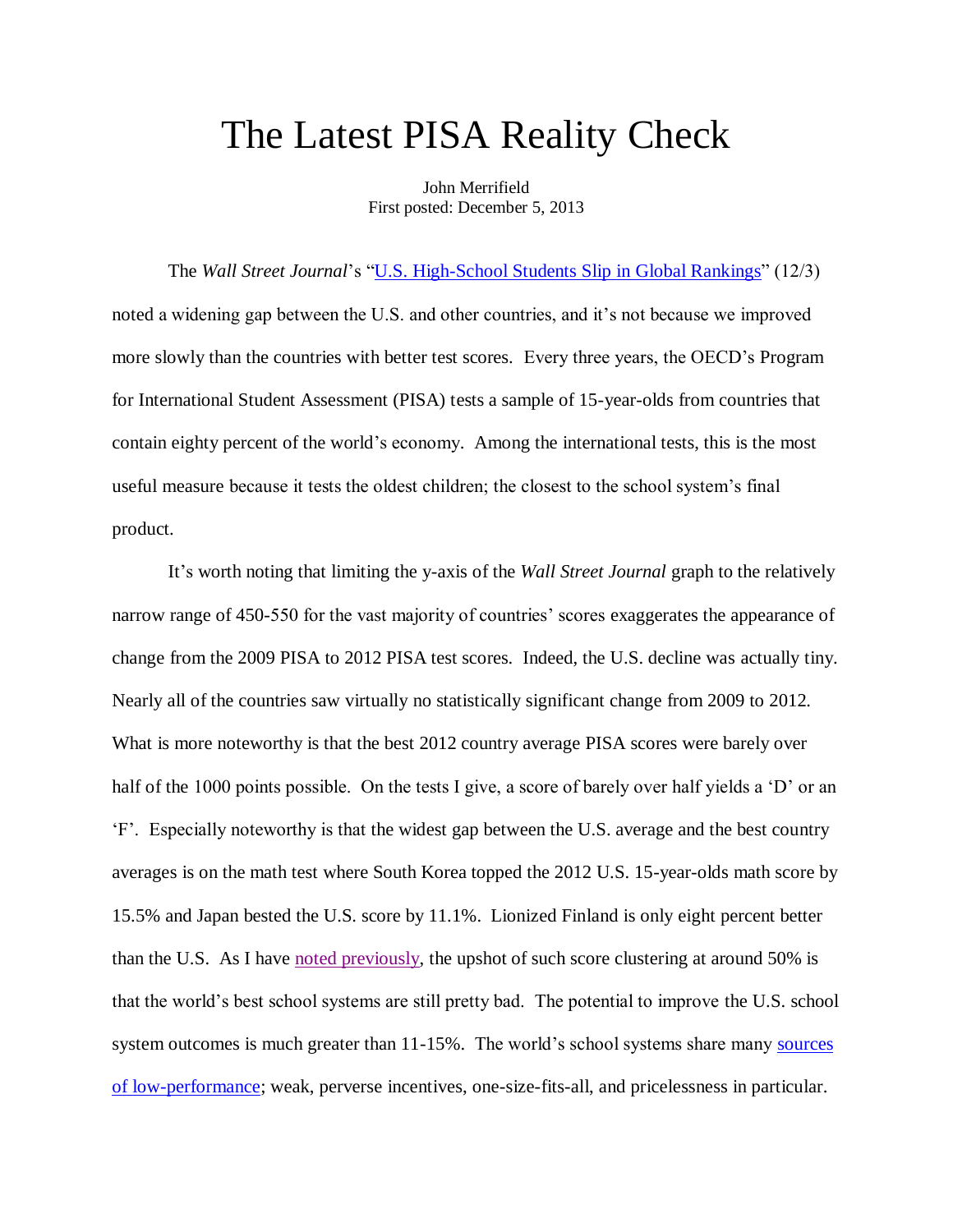## The Latest PISA Reality Check

John Merrifield First posted: December 5, 2013

The *Wall Street Journal*'s "<u>U.S. High-School Students Slip in Global Rankings</u>" (12/3) noted a widening gap between the U.S. and other countries, and it's not because we improved more slowly than the countries with better test scores. Every three years, the OECD's Program for International Student Assessment (PISA) tests a sample of 15-year-olds from countries that contain eighty percent of the world's economy. Among the international tests, this is the most useful measure because it tests the oldest children; the closest to the school system's final product.

It's worth noting that limiting the y-axis of the *Wall Street Journal* graph to the relatively narrow range of 450-550 for the vast majority of countries' scores exaggerates the appearance of change from the 2009 PISA to 2012 PISA test scores. Indeed, the U.S. decline was actually tiny. Nearly all of the countries saw virtually no statistically significant change from 2009 to 2012. What is more noteworthy is that the best 2012 country average PISA scores were barely over half of the 1000 points possible. On the tests I give, a score of barely over half yields a 'D' or an 'F'. Especially noteworthy is that the widest gap between the U.S. average and the best country averages is on the math test where South Korea topped the 2012 U.S. 15-year-olds math score by 15.5% and Japan bested the U.S. score by 11.1%. Lionized Finland is only eight percent better than the U.S. As I have [noted previously,](http://nebula.wsimg.com/53f4210e26994266e312af5d023a30a9?AccessKeyId=DA21FC8554A675E9CF7B&disposition=0&alloworigin=1) the upshot of such score clustering at around 50% is that the world's best school systems are still pretty bad. The potential to improve the U.S. school system outcomes is much greater than 11-15%. The world's school systems share many sources [of low-performance;](http://nebula.wsimg.com/de7a505e69a5da1955afc3fa273fe806?AccessKeyId=DA21FC8554A675E9CF7B&disposition=0&alloworigin=1) weak, perverse incentives, one-size-fits-all, and pricelessness in particular.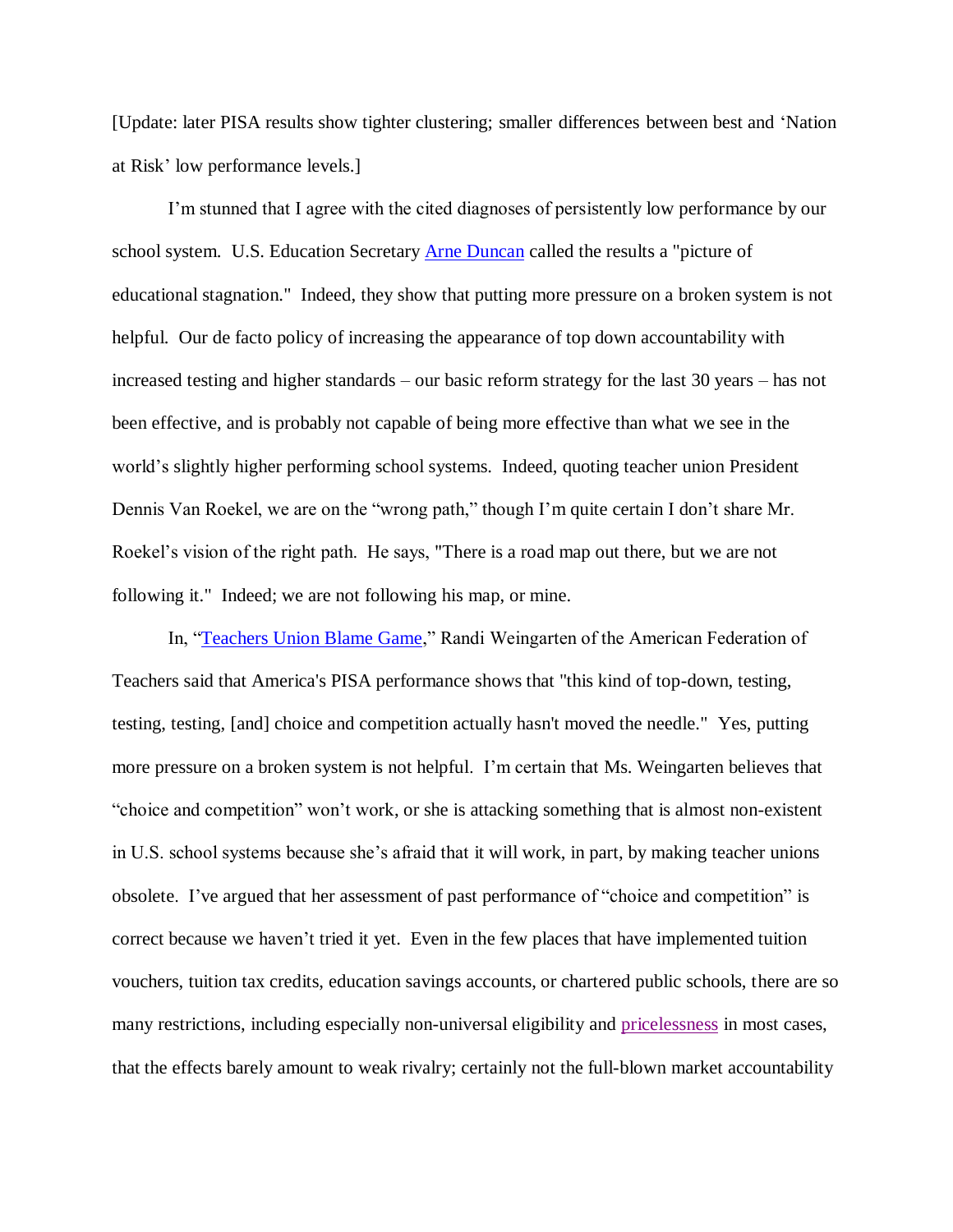[Update: later PISA results show tighter clustering; smaller differences between best and 'Nation at Risk' low performance levels.]

I'm stunned that I agree with the cited diagnoses of persistently low performance by our school system. U.S. Education Secretary [Arne Duncan](http://topics.wsj.com/person/D/Arne-Duncan/1135) called the results a "picture of educational stagnation." Indeed, they show that putting more pressure on a broken system is not helpful. Our de facto policy of increasing the appearance of top down accountability with increased testing and higher standards – our basic reform strategy for the last 30 years – has not been effective, and is probably not capable of being more effective than what we see in the world's slightly higher performing school systems. Indeed, quoting teacher union President Dennis Van Roekel, we are on the "wrong path," though I'm quite certain I don't share Mr. Roekel's vision of the right path. He says, "There is a road map out there, but we are not following it." Indeed; we are not following his map, or mine.

In, ["Teachers Union Blame Game,](http://online.wsj.com/news/article_email/SB10001424052702303497804579238102735182842-lMyQjAxMTAzMDAwNTEwNDUyWj)" Randi Weingarten of the American Federation of Teachers said that America's PISA performance shows that "this kind of top-down, testing, testing, testing, [and] choice and competition actually hasn't moved the needle." Yes, putting more pressure on a broken system is not helpful. I'm certain that Ms. Weingarten believes that "choice and competition" won't work, or she is attacking something that is almost non-existent in U.S. school systems because she's afraid that it will work, in part, by making teacher unions obsolete. I've argued that her assessment of past performance of "choice and competition" is correct because we haven't tried it yet. Even in the few places that have implemented tuition vouchers, tuition tax credits, education savings accounts, or chartered public schools, there are so many restrictions, including especially non-universal eligibility and [pricelessness](http://www.schoolsystemreformstudies.net/wp-content/uploads/2016/11/Time-to-End-Denial.pdf) in most cases, that the effects barely amount to weak rivalry; certainly not the full-blown market accountability